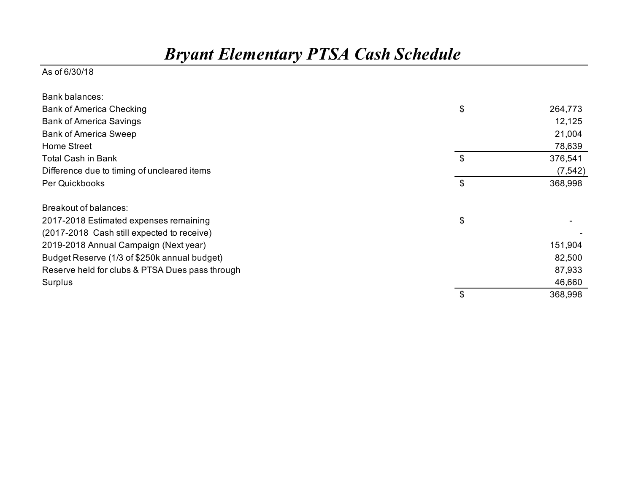## *Bryant Elementary PTSA Cash Schedule*

## As of 6/30/18

| Bank balances:                                  |       |          |
|-------------------------------------------------|-------|----------|
| <b>Bank of America Checking</b>                 | \$    | 264,773  |
| <b>Bank of America Savings</b>                  |       | 12,125   |
| <b>Bank of America Sweep</b>                    |       | 21,004   |
| Home Street                                     |       | 78,639   |
| <b>Total Cash in Bank</b>                       | \$    | 376,541  |
| Difference due to timing of uncleared items     |       | (7, 542) |
| Per Quickbooks                                  | $\$\$ | 368,998  |
| Breakout of balances:                           |       |          |
| 2017-2018 Estimated expenses remaining          | \$    |          |
| (2017-2018 Cash still expected to receive)      |       |          |
| 2019-2018 Annual Campaign (Next year)           |       | 151,904  |
| Budget Reserve (1/3 of \$250k annual budget)    |       | 82,500   |
| Reserve held for clubs & PTSA Dues pass through |       | 87,933   |
| Surplus                                         |       | 46,660   |
|                                                 | \$    | 368,998  |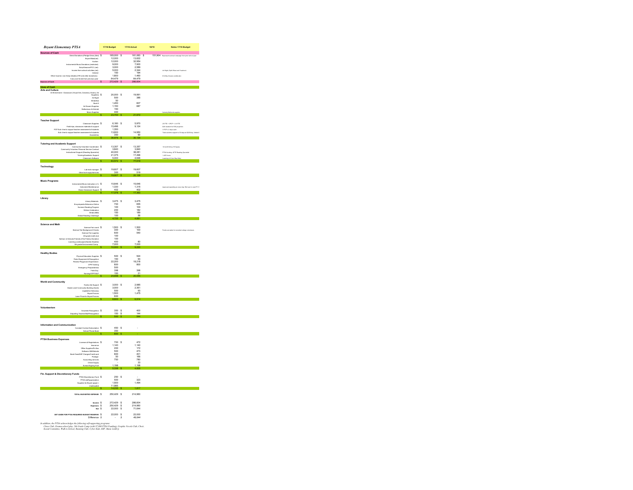| <b>Bryant Elementary PTSA</b>                                                                                                                                                                                                                                                                                                                                                                                                                                                                                          | 17/18 Budget                                                       |   | 17/18 Actual                  | 18/19 | Notes 17/18 Budget                                                                |
|------------------------------------------------------------------------------------------------------------------------------------------------------------------------------------------------------------------------------------------------------------------------------------------------------------------------------------------------------------------------------------------------------------------------------------------------------------------------------------------------------------------------|--------------------------------------------------------------------|---|-------------------------------|-------|-----------------------------------------------------------------------------------|
| rces of Cash<br>Direct Donations (Pledge Drive) (Net) \$                                                                                                                                                                                                                                                                                                                                                                                                                                                               | 165,000 \$                                                         |   | 161,063 \$                    |       | 151,904 Represents annual campaign from prior school year                         |
| <b>Bryant Blast(net)</b>                                                                                                                                                                                                                                                                                                                                                                                                                                                                                               | 12.000                                                             |   | 13.622                        |       |                                                                                   |
| aryans assempted<br>Auction<br>Instrumental Music Donations (restricted)                                                                                                                                                                                                                                                                                                                                                                                                                                               | 12,000<br>9,000                                                    |   | 32,954<br>7,900<br>2,589      |       |                                                                                   |
| Scrip/Amazon/PCC (net)<br>$\begin{minipage}{.4\linewidth} \textbf{StepM} \textbf{H}_{\text{max}} = \textcolor{red}{\textbf{1}} \textbf{.} \vspace{-0.08in} \begin{minipage}{.4\linewidth} \textbf{P} & \textbf{P} \textbf{.} \vspace{-0.08in} \end{minipage} \begin{minipage}{.4\linewidth} \begin{minipage}{.4\linewidth} \textbf{P} & \textbf{P} \textbf{.} \vspace{-0.08in} \end{minipage} \end{minipage} \begin{minipage}{.4\linewidth} \begin{minipage}{.4\linewidth} \textbf{P} & \textbf{P} \textbf{.} \vspace$ | 3,000<br>5,000                                                     |   | 2,344<br>194                  |       | At Night, Spit Wear and Yearbook                                                  |
| Other Income ( non-Scrip rebates, CFD and other donations)                                                                                                                                                                                                                                                                                                                                                                                                                                                             | 1,800                                                              |   | 1,460                         |       | \$1k Boy Scouts contribution                                                      |
| Carry over funds from previous year                                                                                                                                                                                                                                                                                                                                                                                                                                                                                    | 64.479<br>272,429 S                                                |   | 64.479<br>286,604             |       |                                                                                   |
| <b>Uses of Cash</b>                                                                                                                                                                                                                                                                                                                                                                                                                                                                                                    |                                                                    |   |                               |       |                                                                                   |
| <b>Likes of Julius</b><br><b>Arts and Culture</b><br>Arts and Culture<br>Art Envidenment - Classroom (Visual Arts, Ceramics, Drams, Art<br>Suppless) S                                                                                                                                                                                                                                                                                                                                                                 |                                                                    |   |                               |       |                                                                                   |
| <b>Art Night</b>                                                                                                                                                                                                                                                                                                                                                                                                                                                                                                       | 20,000 \$<br>500<br>50                                             |   | 19,991<br>386                 |       |                                                                                   |
| Book It                                                                                                                                                                                                                                                                                                                                                                                                                                                                                                                | 1,450                                                              |   | 607                           |       |                                                                                   |
| Art Docent Supplies                                                                                                                                                                                                                                                                                                                                                                                                                                                                                                    | 1.150                                                              |   | 687                           |       |                                                                                   |
| Reflectors Art Exhibit<br>Music Supplies                                                                                                                                                                                                                                                                                                                                                                                                                                                                               | $\frac{150}{400}$<br>23,700                                        |   | 21,672                        |       |                                                                                   |
| <b>Teacher Support</b>                                                                                                                                                                                                                                                                                                                                                                                                                                                                                                 |                                                                    |   |                               |       |                                                                                   |
| Classroom Supplies S<br>Field trips, classroom materials & support                                                                                                                                                                                                                                                                                                                                                                                                                                                     | 6,180 S<br>15,496                                                  |   | 5,970<br>9,124                |       | 25 FTE + 3PCP + 2.9 FTE<br>\$26 Muderit for 596 projection                        |
| PCP Sub-time to support leacher assessment of students                                                                                                                                                                                                                                                                                                                                                                                                                                                                 | 1.350<br>13,600                                                    |   |                               |       | $3$ PCP x 2 days each<br>Total sub-time support is 30 days at \$225/day. Added \$ |
| Sub-time to support teacher assessment of students<br>Assemblier                                                                                                                                                                                                                                                                                                                                                                                                                                                       | 350<br>88.976                                                      |   | 14,950<br>90<br><b>vn</b> 134 |       |                                                                                   |
|                                                                                                                                                                                                                                                                                                                                                                                                                                                                                                                        |                                                                    |   |                               |       |                                                                                   |
| <b>Tutoring and Academic Support</b><br>Community Volunteer Coordinator \$<br>Community Volunteer Personal Service Contract                                                                                                                                                                                                                                                                                                                                                                                            | 13,357 \$                                                          |   | 13.357                        |       | 19 hard 19 hour 27 weeks                                                          |
| Instructional Support (Reading Specialist)                                                                                                                                                                                                                                                                                                                                                                                                                                                                             | 3,840<br>40,000<br>21,375                                          |   | 3,840<br>38,281<br>17,496     |       | PTSA funding .4FTE Reading Speci                                                  |
| Tutoring/Academic Support<br>Classroom Software                                                                                                                                                                                                                                                                                                                                                                                                                                                                        | 5.000                                                              |   | 4846                          |       | 1,425 hours<br>Learning A-Z (incl Rea Kids)                                       |
|                                                                                                                                                                                                                                                                                                                                                                                                                                                                                                                        | 33,572                                                             |   | 77,619                        |       |                                                                                   |
| Technology<br>Lab tech manager \$                                                                                                                                                                                                                                                                                                                                                                                                                                                                                      | 19,607 \$                                                          |   | 19,607                        |       |                                                                                   |
| Other tech equipliesvices                                                                                                                                                                                                                                                                                                                                                                                                                                                                                              | $\frac{300}{19,907}$<br>š                                          |   | 519<br>20.126                 |       |                                                                                   |
| Music Programs                                                                                                                                                                                                                                                                                                                                                                                                                                                                                                         |                                                                    |   |                               |       |                                                                                   |
| ental Music instruction (r.f.) S<br>Instrument Maintenance                                                                                                                                                                                                                                                                                                                                                                                                                                                             | 15,646 \$                                                          |   | 15,646                        |       |                                                                                   |
| Music Classroom Support S                                                                                                                                                                                                                                                                                                                                                                                                                                                                                              | 1,330<br>402                                                       |   | 1,315<br>402                  |       | Approved spending at June ring. Roll over to next FY if                           |
|                                                                                                                                                                                                                                                                                                                                                                                                                                                                                                                        | 17,378                                                             |   | 7,363                         |       |                                                                                   |
| Library<br>Library Materials \$                                                                                                                                                                                                                                                                                                                                                                                                                                                                                        | 3,475 \$                                                           |   | 3,475                         |       |                                                                                   |
| Encyclopedia Britannica Online                                                                                                                                                                                                                                                                                                                                                                                                                                                                                         | 700<br>100                                                         |   | 655<br>104                    |       |                                                                                   |
| Summer Reading Program<br>Writers Celebration<br>Writers BBQ                                                                                                                                                                                                                                                                                                                                                                                                                                                           | $\frac{200}{150}$                                                  |   | $\frac{182}{189}$             |       |                                                                                   |
| <b>Global Reading Challenge</b>                                                                                                                                                                                                                                                                                                                                                                                                                                                                                        | 100<br>4,725                                                       |   | 56<br>4,661                   |       |                                                                                   |
| <b>Science and Math</b>                                                                                                                                                                                                                                                                                                                                                                                                                                                                                                |                                                                    |   |                               |       |                                                                                   |
| Science Fair coord S                                                                                                                                                                                                                                                                                                                                                                                                                                                                                                   | 1.500 S                                                            |   | 1,500                         |       |                                                                                   |
| a Fair Background Checks<br>Science Fair supplies                                                                                                                                                                                                                                                                                                                                                                                                                                                                      | 300<br>600<br>100                                                  |   | 100<br>540                    |       | nds set aside for recruited college volunteen                                     |
| 4th crade math club                                                                                                                                                                                                                                                                                                                                                                                                                                                                                                    |                                                                    |   |                               |       |                                                                                   |
| Schools Friends of the Fishery Donation<br>Learning Landscapes/Garden Buddies<br>5th grade Environmental Camp                                                                                                                                                                                                                                                                                                                                                                                                          | $\begin{array}{r} 100 \\ 400 \\ 7,000 \end{array}$                 |   | 80<br>7,000                   |       |                                                                                   |
|                                                                                                                                                                                                                                                                                                                                                                                                                                                                                                                        |                                                                    |   |                               |       |                                                                                   |
| <b>Healthy Bodies</b><br>Physical Education Supplies S                                                                                                                                                                                                                                                                                                                                                                                                                                                                 | 500 S                                                              |   | 524                           |       |                                                                                   |
| Patrol Equipment & Recognition                                                                                                                                                                                                                                                                                                                                                                                                                                                                                         | 150                                                                |   | 93                            |       |                                                                                   |
| Recess Playground Supervision<br><b>CPR</b> Training                                                                                                                                                                                                                                                                                                                                                                                                                                                                   | 22,200<br>800                                                      |   | 18,218<br>800                 |       |                                                                                   |
| <b>Emergency Preparedness</b><br>Field Day                                                                                                                                                                                                                                                                                                                                                                                                                                                                             | 500<br>398                                                         |   | 398                           |       |                                                                                   |
| Nursing/OTPT/SLP                                                                                                                                                                                                                                                                                                                                                                                                                                                                                                       | 150<br>24.698                                                      |   | 21<br>20.055                  |       |                                                                                   |
| World and Community                                                                                                                                                                                                                                                                                                                                                                                                                                                                                                    |                                                                    |   |                               |       |                                                                                   |
| Family Aid Support \$<br>Grade Level Co.                                                                                                                                                                                                                                                                                                                                                                                                                                                                               | 3,000 S<br>3,000                                                   |   | 2,985<br>2.361                |       |                                                                                   |
| munity Building Grants<br>Legislative Advocacy                                                                                                                                                                                                                                                                                                                                                                                                                                                                         | 5,000<br>500<br>1,500                                              |   | $^{93}_{1,475}$               |       |                                                                                   |
| <b>Bryant Foruma</b><br>Laser Pizza for Bryant Foruma                                                                                                                                                                                                                                                                                                                                                                                                                                                                  | 600                                                                |   |                               |       |                                                                                   |
|                                                                                                                                                                                                                                                                                                                                                                                                                                                                                                                        | 8,600                                                              |   | <b>6914</b>                   |       |                                                                                   |
| Volunteerism                                                                                                                                                                                                                                                                                                                                                                                                                                                                                                           |                                                                    |   |                               |       |                                                                                   |
| Volumber Recognition<br>Departry Teacher Staff Recognition                                                                                                                                                                                                                                                                                                                                                                                                                                                             | 350 \$                                                             |   | 400<br>144                    |       |                                                                                   |
|                                                                                                                                                                                                                                                                                                                                                                                                                                                                                                                        |                                                                    |   | 644                           |       |                                                                                   |
| Information and Communication                                                                                                                                                                                                                                                                                                                                                                                                                                                                                          |                                                                    |   |                               |       |                                                                                   |
| Constant Contact Subscription S                                                                                                                                                                                                                                                                                                                                                                                                                                                                                        | 450 S                                                              |   | ÷.                            |       |                                                                                   |
| School Phone Book                                                                                                                                                                                                                                                                                                                                                                                                                                                                                                      | 350<br>800                                                         |   |                               |       |                                                                                   |
| <b>PTSA Business Expenses</b>                                                                                                                                                                                                                                                                                                                                                                                                                                                                                          |                                                                    |   |                               |       |                                                                                   |
| Licenses & Registrations S<br>haurance                                                                                                                                                                                                                                                                                                                                                                                                                                                                                 | 700 S<br>1.140                                                     |   | 472<br>1.140                  |       |                                                                                   |
| Chica Supplies/Po Box<br>Scheare /QB/Website                                                                                                                                                                                                                                                                                                                                                                                                                                                                           | $\frac{200}{500}$                                                  |   | $\frac{172}{473}$             |       |                                                                                   |
| Bank FeesNSF Charges/Credit card                                                                                                                                                                                                                                                                                                                                                                                                                                                                                       | 800                                                                |   | 401                           |       |                                                                                   |
| Postage<br>Accounting services                                                                                                                                                                                                                                                                                                                                                                                                                                                                                         | 50<br>750                                                          |   | 166<br>780                    |       |                                                                                   |
| Check Supply<br>Sumac/Gigwing Fuel                                                                                                                                                                                                                                                                                                                                                                                                                                                                                     | 1.198                                                              |   | 33<br>1.198                   |       |                                                                                   |
|                                                                                                                                                                                                                                                                                                                                                                                                                                                                                                                        | 5.338                                                              |   |                               |       |                                                                                   |
| Fin. Support & Discretionary Funds                                                                                                                                                                                                                                                                                                                                                                                                                                                                                     |                                                                    |   |                               |       |                                                                                   |
| PTSA Discretionary Fund \$<br>PTSA staff appreciation<br>Supplies for Bryant (paper)                                                                                                                                                                                                                                                                                                                                                                                                                                   | $\begin{array}{cc} 250 & \mathbb{S} \\ 500 & \end{array}$<br>1,500 |   | 323<br>1,494                  |       |                                                                                   |
| Unallocated                                                                                                                                                                                                                                                                                                                                                                                                                                                                                                            | 11,985<br>14,235                                                   |   | 1.817                         |       |                                                                                   |
| TOTAL BUDGETED EXPENSE \$                                                                                                                                                                                                                                                                                                                                                                                                                                                                                              | 250,429 \$                                                         |   | 214,960                       |       |                                                                                   |
|                                                                                                                                                                                                                                                                                                                                                                                                                                                                                                                        |                                                                    |   |                               |       |                                                                                   |
| Income S                                                                                                                                                                                                                                                                                                                                                                                                                                                                                                               | 272,429 \$                                                         |   | 286,604                       |       |                                                                                   |
| Expenses S<br>Net S                                                                                                                                                                                                                                                                                                                                                                                                                                                                                                    | $250,429$ \$<br>22,000 \$                                          |   | 214,980<br>71,644             |       |                                                                                   |
| SET ASDE FOR PTSA REQUIRED BUDGET RESERVE \$                                                                                                                                                                                                                                                                                                                                                                                                                                                                           | 22,000 S                                                           |   | 22,000                        |       |                                                                                   |
| Difference \$                                                                                                                                                                                                                                                                                                                                                                                                                                                                                                          |                                                                    | s | 49.644                        |       |                                                                                   |

In addition, the PTSA acknowledges the following self-supporting programs:<br>- Chess Club, Drama-school play, 5th Grade Camp (rath \$7,000 PTSA Funding), Graphic Novels Club, Choir,<br>- Social Committee, Walk to School, Rumting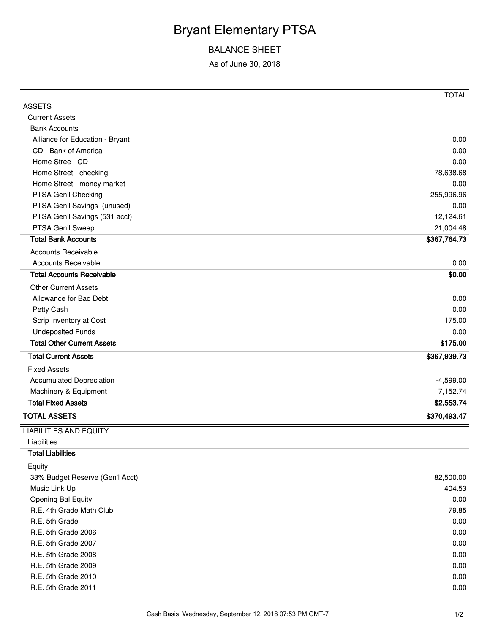## Bryant Elementary PTSA

## BALANCE SHEET

As of June 30, 2018

|                                   | <b>TOTAL</b> |
|-----------------------------------|--------------|
| <b>ASSETS</b>                     |              |
| <b>Current Assets</b>             |              |
| <b>Bank Accounts</b>              |              |
| Alliance for Education - Bryant   | 0.00         |
| CD - Bank of America              | 0.00         |
| Home Stree - CD                   | 0.00         |
| Home Street - checking            | 78,638.68    |
| Home Street - money market        | 0.00         |
| PTSA Gen'l Checking               | 255,996.96   |
| PTSA Gen'l Savings (unused)       | 0.00         |
| PTSA Gen'l Savings (531 acct)     | 12,124.61    |
| PTSA Gen'l Sweep                  | 21,004.48    |
| <b>Total Bank Accounts</b>        | \$367,764.73 |
| <b>Accounts Receivable</b>        |              |
| <b>Accounts Receivable</b>        | 0.00         |
| <b>Total Accounts Receivable</b>  | \$0.00       |
| <b>Other Current Assets</b>       |              |
| Allowance for Bad Debt            | 0.00         |
| Petty Cash                        | 0.00         |
| Scrip Inventory at Cost           | 175.00       |
| <b>Undeposited Funds</b>          | 0.00         |
| <b>Total Other Current Assets</b> | \$175.00     |
| <b>Total Current Assets</b>       | \$367,939.73 |
| <b>Fixed Assets</b>               |              |
| <b>Accumulated Depreciation</b>   | $-4,599.00$  |
| Machinery & Equipment             | 7,152.74     |
| <b>Total Fixed Assets</b>         | \$2,553.74   |
| <b>TOTAL ASSETS</b>               | \$370,493.47 |
| <b>LIABILITIES AND EQUITY</b>     |              |
| Liabilities                       |              |
| <b>Total Liabilities</b>          |              |
| Equity                            |              |
| 33% Budget Reserve (Gen'l Acct)   | 82,500.00    |
| Music Link Up                     | 404.53       |

Opening Bal Equity 0.00 R.E. 4th Grade Math Club 79.85 R.E. 5th Grade 0.00 R.E. 5th Grade 2006 **0.00** R.E. 5th Grade 2007 0.00 R.E. 5th Grade 2008 0.00 R.E. 5th Grade 2009 **0.00** R.E. 5th Grade 2010 **0.00** 0.00 R.E. 5th Grade 2011 **0.00**